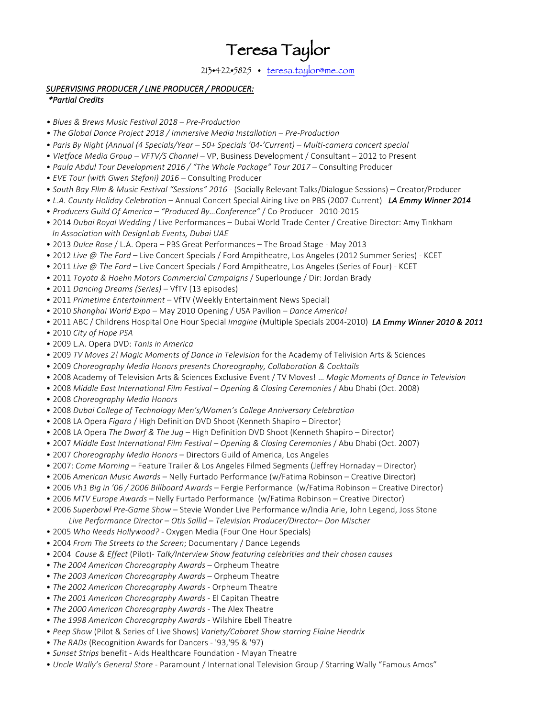# Teresa Taylor

213•422•5825 • teresa.taylor@me.com

## SUPERVISING PRODUCER / LINE PRODUCER / PRODUCER:

## *\*Partial Credits*

- *• Blues & Brews Music Festival 2018 – Pre-Production*
- *• The Global Dance Project 2018 / Immersive Media Installation – Pre-Production*
- *Paris By Night (Annual (4 Specials/Year – 50+ Specials '04-'Current) Multi-camera concert special*
- *VIetface Media Group – VFTV/S Channel* VP, Business Development / Consultant – 2012 to Present
- Paula Abdul Tour Development 2016 / "The Whole Package" Tour 2017 Consulting Producer
- *EVE Tour (with Gwen Stefani)* 2016 Consulting Producer
- *South Bay Fllm & Music Festival "Sessions" 2016* (Socially Relevant Talks/Dialogue Sessions) – Creator/Producer
- L.A. County Holiday Celebration Annual Concert Special Airing Live on PBS (2007-Current) **LA Emmy Winner 2014**
- • *Producers Guild Of America – "Produced By…Conference"* / Co-Producer 2010-2015
- 2014 *Dubai Royal Wedding* / Live Performances Dubai World Trade Center / Creative Director: Amy Tinkham *In Association with DesignLab Events, Dubai UAE*
- 2013 *Dulce Rose* / L.A. Opera PBS Great Performances The Broad Stage May 2013
- 2012 *Live @ The Ford* Live Concert Specials / Ford Ampitheatre, Los Angeles (2012 Summer Series) KCET
- 2011 *Live* @ The Ford Live Concert Specials / Ford Ampitheatre, Los Angeles (Series of Four) KCET
- 2011 *Toyota & Hoehn Motors Commercial Campaigns* / Superlounge / Dir: Jordan Brady
- 2011 *Dancing Dreams (Series)* VfTV (13 episodes)
- 2011 Primetime Entertainment VfTV (Weekly Entertainment News Special)
- 2010 Shanghai World Expo May 2010 Opening / USA Pavilion Dance America!
- 2011 ABC / Childrens Hospital One Hour Special *Imagine* (Multiple Specials 2004-2010) *LA Emmy Winner 2010 & 2011*
- 2010 *City of Hope PSA*
- 2009 L.A. Opera DVD: *Tanis in America*
- 2009 *TV Moves 2! Magic Moments of Dance in Television* for the Academy of Telivision Arts & Sciences
- 2009 *Choreography Media Honors presents Choreography, Collaboration & Cocktails*
- • 2008 Academy of Television Arts & Sciences Exclusive Event / TV Moves! … *Magic Moments of Dance in Television*
- 2008 *Middle East International Film Festival – Opening & Closing Ceremonies* / Abu Dhabi (Oct. 2008)
- 2008 *Choreography Media Honors*
- • 2008 *Dubai College of Technology Men's/Women's College Anniversary Celebration*
- 2008 LA Opera *Figaro* / High Definition DVD Shoot (Kenneth Shapiro Director)
- 2008 LA Opera *The Dwarf & The Jug* High Definition DVD Shoot (Kenneth Shapiro Director)
- 2007 *Middle East International Film Festival – Opening & Closing Ceremonies* / Abu Dhabi (Oct. 2007)
- 2007 *Choreography Media Honors* Directors Guild of America, Los Angeles
- 2007: *Come Morning* Feature Trailer & Los Angeles Filmed Segments (Jeffrey Hornaday Director)
- 2006 American Music Awards Nelly Furtado Performance (w/Fatima Robinson Creative Director)
- 2006 Vh1 Big in '06 / 2006 Billboard Awards Fergie Performance (w/Fatima Robinson Creative Director)
- 2006 *MTV Europe Awards* Nelly Furtado Performance (w/Fatima Robinson Creative Director)
- 2006 *Superbowl Pre-Game Show* Stevie Wonder Live Performance w/India Arie, John Legend, Joss Stone  *Live Performance Director – Otis Sallid – Television Producer/Director– Don Mischer*
- 2005 Who Needs Hollywood? Oxygen Media (Four One Hour Specials)
- 2004 From The Streets to the Screen; Documentary / Dance Legends
- • 2004 *Cause & Effect* (Pilot)- *Talk/Interview Show featuring celebrities and their chosen causes*
- The 2004 American Choreography Awards Orpheum Theatre
- The 2003 American Choreography Awards Orpheum Theatre
- The 2002 American Choreography Awards Orpheum Theatre
- The 2001 American Choreography Awards El Capitan Theatre
- The 2000 American Choreography Awards The Alex Theatre
- The 1998 American Choreography Awards Wilshire Ebell Theatre
- Peep Show (Pilot & Series of Live Shows) Variety/Cabaret Show starring Elaine Hendrix
- The RADs (Recognition Awards for Dancers '93,'95 & '97)
- Sunset Strips benefit Aids Healthcare Foundation Mayan Theatre
- *Uncle Wally's General Store* Paramount / International Television Group / Starring Wally "Famous Amos"